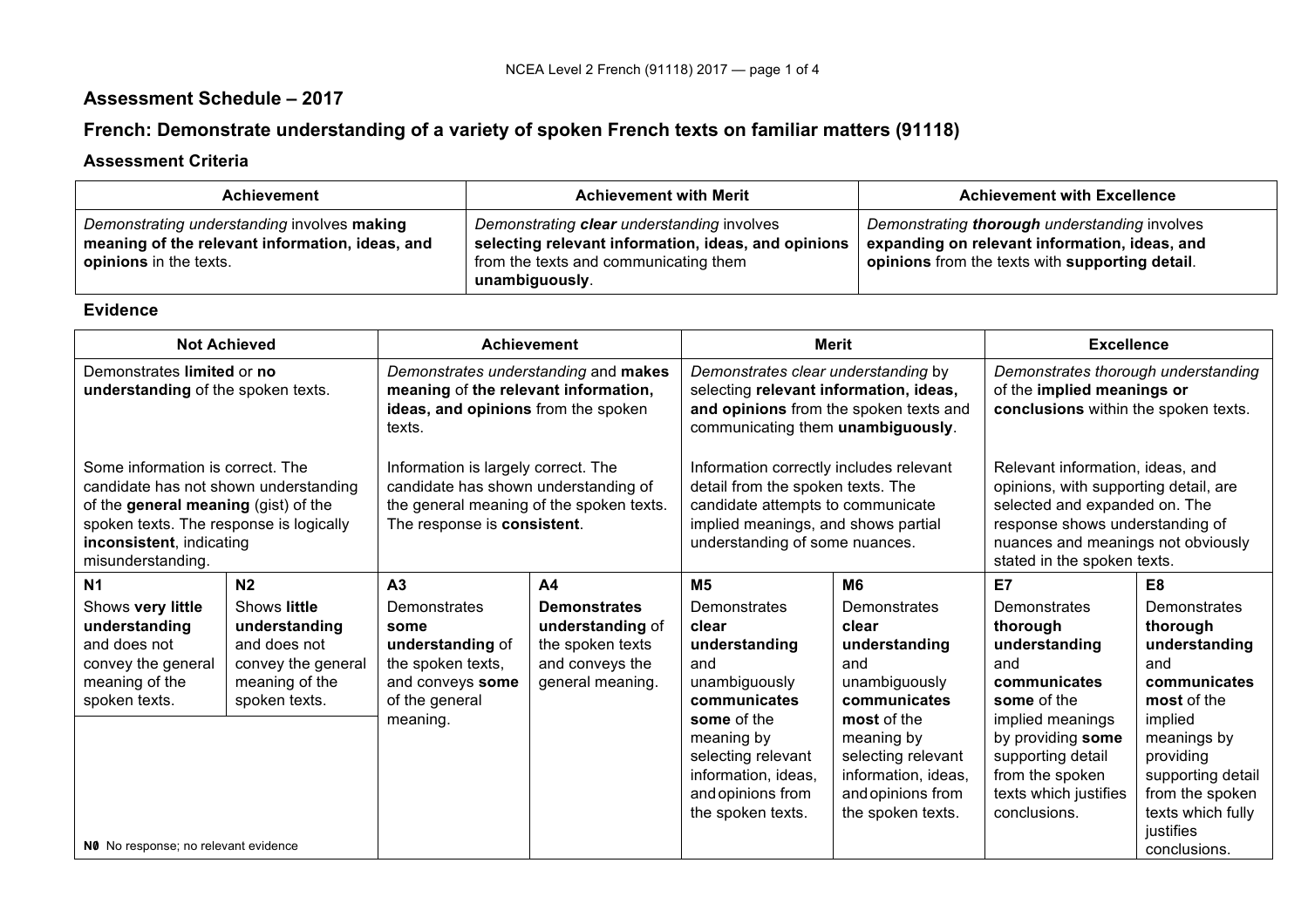## **Assessment Schedule – 2017**

# **French: Demonstrate understanding of a variety of spoken French texts on familiar matters (91118)**

#### **Assessment Criteria**

| <b>Achievement</b>                                                                                                              | <b>Achievement with Merit</b>                                                                                                                                | <b>Achievement with Excellence</b>                                                                                                                |
|---------------------------------------------------------------------------------------------------------------------------------|--------------------------------------------------------------------------------------------------------------------------------------------------------------|---------------------------------------------------------------------------------------------------------------------------------------------------|
| Demonstrating understanding involves making<br>meaning of the relevant information, ideas, and<br><b>opinions</b> in the texts. | Demonstrating clear understanding involves<br>selecting relevant information, ideas, and opinions<br>from the texts and communicating them<br>unambiguously. | Demonstrating thorough understanding involves<br>expanding on relevant information, ideas, and<br>opinions from the texts with supporting detail. |

#### **Evidence**

| <b>Not Achieved</b><br><b>Achievement</b>                                                                   |                                                                                                                                                                                                                                                                                                                        |                                                                                                                                                                                                                                                                                               | <b>Merit</b>                                                                                                                                                                                                                                                                                                                                                                                                     |                                                                                                                  | <b>Excellence</b>                                                                                                |                                                                                                                        |                                                                                                                               |
|-------------------------------------------------------------------------------------------------------------|------------------------------------------------------------------------------------------------------------------------------------------------------------------------------------------------------------------------------------------------------------------------------------------------------------------------|-----------------------------------------------------------------------------------------------------------------------------------------------------------------------------------------------------------------------------------------------------------------------------------------------|------------------------------------------------------------------------------------------------------------------------------------------------------------------------------------------------------------------------------------------------------------------------------------------------------------------------------------------------------------------------------------------------------------------|------------------------------------------------------------------------------------------------------------------|------------------------------------------------------------------------------------------------------------------|------------------------------------------------------------------------------------------------------------------------|-------------------------------------------------------------------------------------------------------------------------------|
| Demonstrates limited or no<br>understanding of the spoken texts.                                            |                                                                                                                                                                                                                                                                                                                        | Demonstrates understanding and makes<br>Demonstrates clear understanding by<br>meaning of the relevant information,<br>selecting relevant information, ideas,<br>ideas, and opinions from the spoken<br>and opinions from the spoken texts and<br>communicating them unambiguously.<br>texts. |                                                                                                                                                                                                                                                                                                                                                                                                                  |                                                                                                                  | Demonstrates thorough understanding<br>of the implied meanings or<br>conclusions within the spoken texts.        |                                                                                                                        |                                                                                                                               |
| inconsistent, indicating<br>misunderstanding.                                                               | Some information is correct. The<br>Information is largely correct. The<br>candidate has shown understanding of<br>candidate has not shown understanding<br>the general meaning of the spoken texts.<br>of the general meaning (gist) of the<br>spoken texts. The response is logically<br>The response is consistent. |                                                                                                                                                                                                                                                                                               | Relevant information, ideas, and<br>Information correctly includes relevant<br>opinions, with supporting detail, are<br>detail from the spoken texts. The<br>candidate attempts to communicate<br>selected and expanded on. The<br>implied meanings, and shows partial<br>response shows understanding of<br>nuances and meanings not obviously<br>understanding of some nuances.<br>stated in the spoken texts. |                                                                                                                  |                                                                                                                  |                                                                                                                        |                                                                                                                               |
| <b>N1</b>                                                                                                   | N <sub>2</sub>                                                                                                                                                                                                                                                                                                         | A <sub>3</sub>                                                                                                                                                                                                                                                                                | A <sub>4</sub>                                                                                                                                                                                                                                                                                                                                                                                                   | M <sub>5</sub>                                                                                                   | M <sub>6</sub>                                                                                                   | E7                                                                                                                     | E8                                                                                                                            |
| Shows very little<br>understanding<br>and does not<br>convey the general<br>meaning of the<br>spoken texts. | Shows little<br>understanding<br>and does not<br>convey the general<br>meaning of the<br>spoken texts.                                                                                                                                                                                                                 | Demonstrates<br>some<br>understanding of<br>the spoken texts,<br>and conveys some<br>of the general                                                                                                                                                                                           | <b>Demonstrates</b><br>understanding of<br>the spoken texts<br>and conveys the<br>general meaning.                                                                                                                                                                                                                                                                                                               | Demonstrates<br>clear<br>understanding<br>and<br>unambiguously<br>communicates                                   | Demonstrates<br>clear<br>understanding<br>and<br>unambiguously<br>communicates                                   | Demonstrates<br>thorough<br>understanding<br>and<br>communicates<br>some of the                                        | Demonstrates<br>thorough<br>understanding<br>and<br>communicates<br>most of the                                               |
| NO No response; no relevant evidence                                                                        |                                                                                                                                                                                                                                                                                                                        | meaning.                                                                                                                                                                                                                                                                                      |                                                                                                                                                                                                                                                                                                                                                                                                                  | some of the<br>meaning by<br>selecting relevant<br>information, ideas,<br>and opinions from<br>the spoken texts. | most of the<br>meaning by<br>selecting relevant<br>information, ideas,<br>and opinions from<br>the spoken texts. | implied meanings<br>by providing some<br>supporting detail<br>from the spoken<br>texts which justifies<br>conclusions. | implied<br>meanings by<br>providing<br>supporting detail<br>from the spoken<br>texts which fully<br>justifies<br>conclusions. |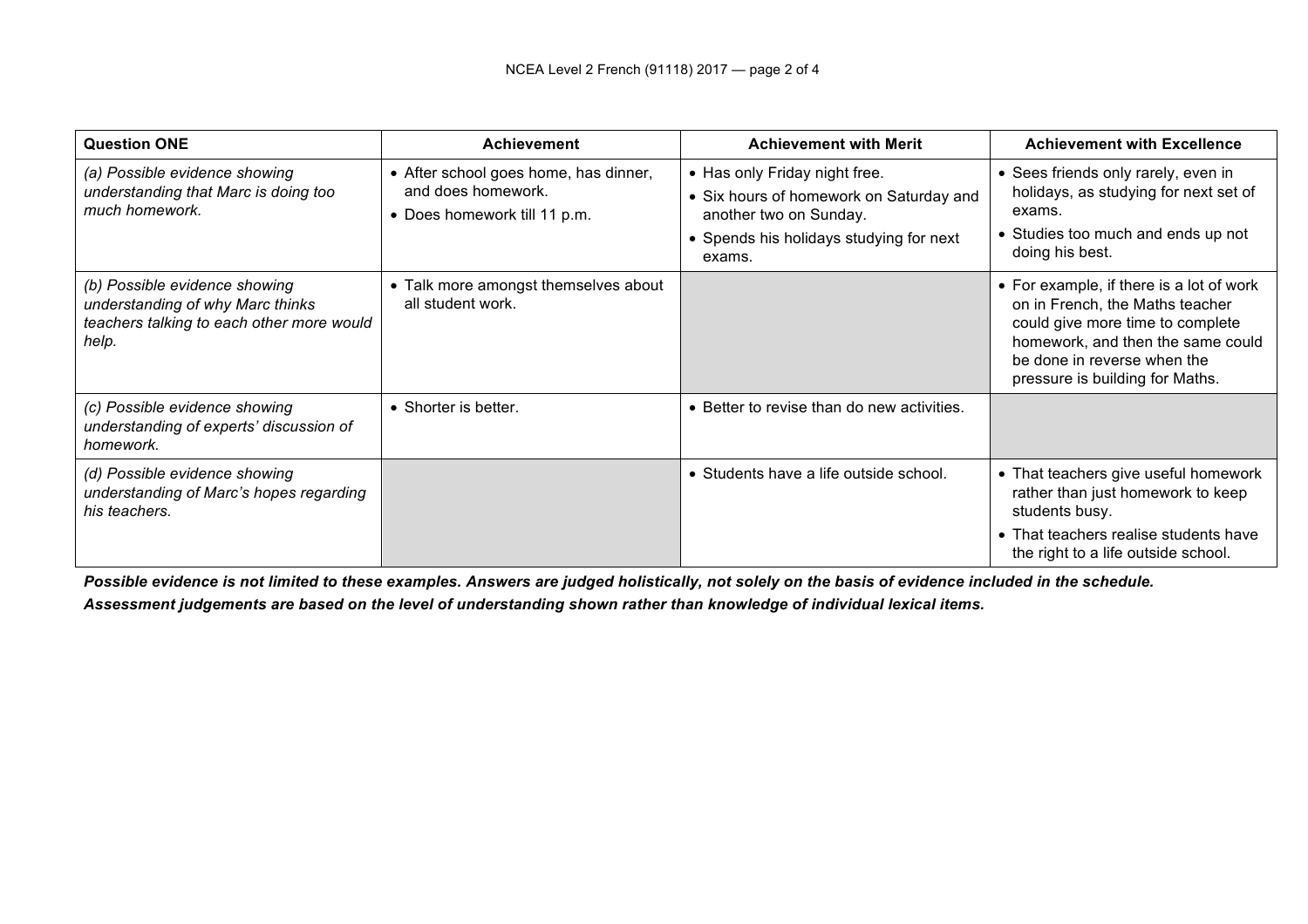| <b>Question ONE</b>                                                                                                     | <b>Achievement</b>                                                                          | <b>Achievement with Merit</b>                                                                                                                           | <b>Achievement with Excellence</b>                                                                                                                                                                                     |
|-------------------------------------------------------------------------------------------------------------------------|---------------------------------------------------------------------------------------------|---------------------------------------------------------------------------------------------------------------------------------------------------------|------------------------------------------------------------------------------------------------------------------------------------------------------------------------------------------------------------------------|
| (a) Possible evidence showing<br>understanding that Marc is doing too<br>much homework.                                 | • After school goes home, has dinner,<br>and does homework.<br>• Does homework till 11 p.m. | • Has only Friday night free.<br>• Six hours of homework on Saturday and<br>another two on Sunday.<br>• Spends his holidays studying for next<br>exams. | • Sees friends only rarely, even in<br>holidays, as studying for next set of<br>exams.<br>• Studies too much and ends up not<br>doing his best.                                                                        |
| (b) Possible evidence showing<br>understanding of why Marc thinks<br>teachers talking to each other more would<br>help. | • Talk more amongst themselves about<br>all student work.                                   |                                                                                                                                                         | • For example, if there is a lot of work<br>on in French, the Maths teacher<br>could give more time to complete<br>homework, and then the same could<br>be done in reverse when the<br>pressure is building for Maths. |
| (c) Possible evidence showing<br>understanding of experts' discussion of<br>homework.                                   | • Shorter is better.                                                                        | • Better to revise than do new activities.                                                                                                              |                                                                                                                                                                                                                        |
| (d) Possible evidence showing<br>understanding of Marc's hopes regarding<br>his teachers.                               |                                                                                             | • Students have a life outside school.                                                                                                                  | • That teachers give useful homework<br>rather than just homework to keep<br>students busy.<br>• That teachers realise students have                                                                                   |
|                                                                                                                         |                                                                                             |                                                                                                                                                         | the right to a life outside school.                                                                                                                                                                                    |

*Possible evidence is not limited to these examples. Answers are judged holistically, not solely on the basis of evidence included in the schedule.*

*Assessment judgements are based on the level of understanding shown rather than knowledge of individual lexical items.*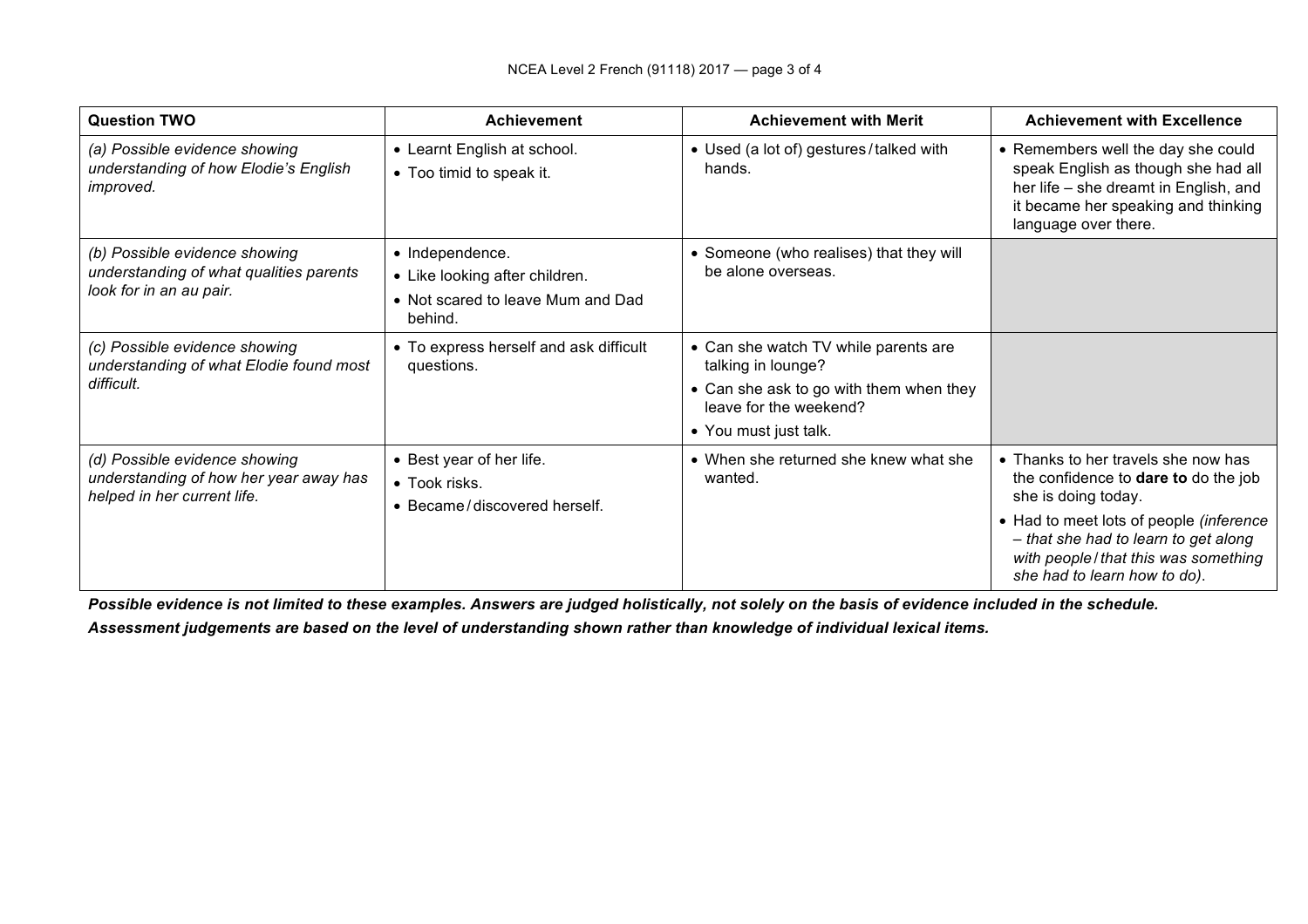| <b>Question TWO</b>                                                                                    | <b>Achievement</b>                                                                                | <b>Achievement with Merit</b>                                                                                                                            | <b>Achievement with Excellence</b>                                                                                                                                                                                                                                    |
|--------------------------------------------------------------------------------------------------------|---------------------------------------------------------------------------------------------------|----------------------------------------------------------------------------------------------------------------------------------------------------------|-----------------------------------------------------------------------------------------------------------------------------------------------------------------------------------------------------------------------------------------------------------------------|
| (a) Possible evidence showing<br>understanding of how Elodie's English<br>improved.                    | • Learnt English at school.<br>• Too timid to speak it.                                           | • Used (a lot of) gestures/talked with<br>hands.                                                                                                         | • Remembers well the day she could<br>speak English as though she had all<br>her life – she dreamt in English, and<br>it became her speaking and thinking<br>language over there.                                                                                     |
| (b) Possible evidence showing<br>understanding of what qualities parents<br>look for in an au pair.    | • Independence.<br>• Like looking after children.<br>• Not scared to leave Mum and Dad<br>behind. | • Someone (who realises) that they will<br>be alone overseas.                                                                                            |                                                                                                                                                                                                                                                                       |
| (c) Possible evidence showing<br>understanding of what Elodie found most<br>difficult.                 | • To express herself and ask difficult<br>questions.                                              | • Can she watch TV while parents are<br>talking in lounge?<br>• Can she ask to go with them when they<br>leave for the weekend?<br>• You must just talk. |                                                                                                                                                                                                                                                                       |
| (d) Possible evidence showing<br>understanding of how her year away has<br>helped in her current life. | • Best year of her life.<br>$\bullet$ Took risks.<br>• Became/discovered herself.                 | • When she returned she knew what she<br>wanted.                                                                                                         | • Thanks to her travels she now has<br>the confidence to <b>dare to</b> do the job<br>she is doing today.<br>• Had to meet lots of people (inference<br>- that she had to learn to get along<br>with people / that this was something<br>she had to learn how to do). |

*Possible evidence is not limited to these examples. Answers are judged holistically, not solely on the basis of evidence included in the schedule. Assessment judgements are based on the level of understanding shown rather than knowledge of individual lexical items.*